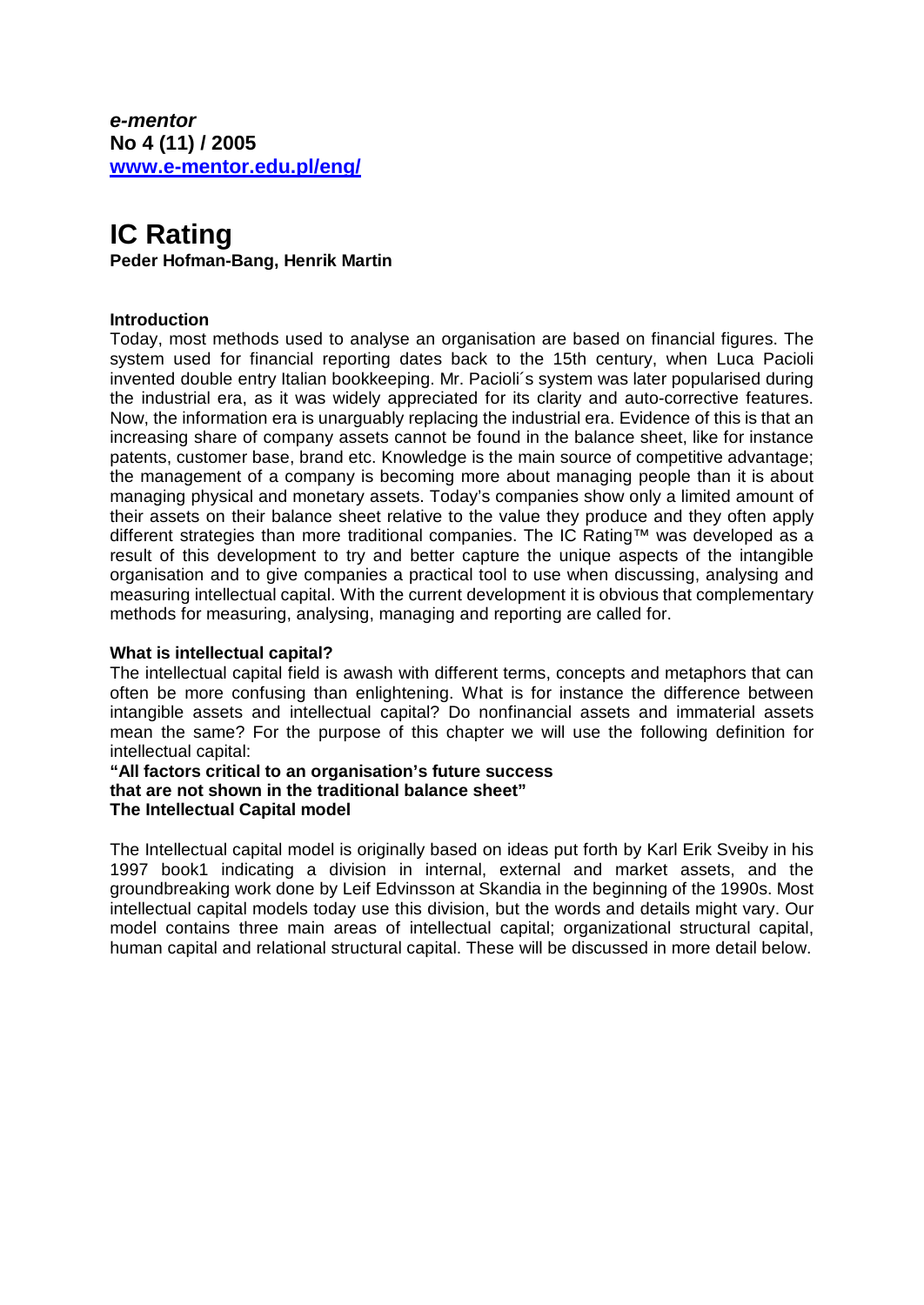*e-mentor*  **No 4 (11) / 2005 [www.e-mentor.edu.pl/eng/](http://www.e-mentor.edu.pl/eng/)**

# **IC Rating Peder Hofman-Bang, Henrik Martin**

# **Introduction**

Today, most methods used to analyse an organisation are based on financial figures. The system used for financial reporting dates back to the 15th century, when Luca Pacioli invented double entry Italian bookkeeping. Mr. Pacioli´s system was later popularised during the industrial era, as it was widely appreciated for its clarity and auto-corrective features. Now, the information era is unarguably replacing the industrial era. Evidence of this is that an increasing share of company assets cannot be found in the balance sheet, like for instance patents, customer base, brand etc. Knowledge is the main source of competitive advantage; the management of a company is becoming more about managing people than it is about managing physical and monetary assets. Today's companies show only a limited amount of their assets on their balance sheet relative to the value they produce and they often apply different strategies than more traditional companies. The IC Rating™ was developed as a result of this development to try and better capture the unique aspects of the intangible organisation and to give companies a practical tool to use when discussing, analysing and measuring intellectual capital. With the current development it is obvious that complementary methods for measuring, analysing, managing and reporting are called for.

#### **What is intellectual capital?**

The intellectual capital field is awash with different terms, concepts and metaphors that can often be more confusing than enlightening. What is for instance the difference between intangible assets and intellectual capital? Do nonfinancial assets and immaterial assets mean the same? For the purpose of this chapter we will use the following definition for intellectual capital:

**"All factors critical to an organisation's future success that are not shown in the traditional balance sheet" The Intellectual Capital model** 

The Intellectual capital model is originally based on ideas put forth by Karl Erik Sveiby in his 1997 book1 indicating a division in internal, external and market assets, and the groundbreaking work done by Leif Edvinsson at Skandia in the beginning of the 1990s. Most intellectual capital models today use this division, but the words and details might vary. Our model contains three main areas of intellectual capital; organizational structural capital, human capital and relational structural capital. These will be discussed in more detail below.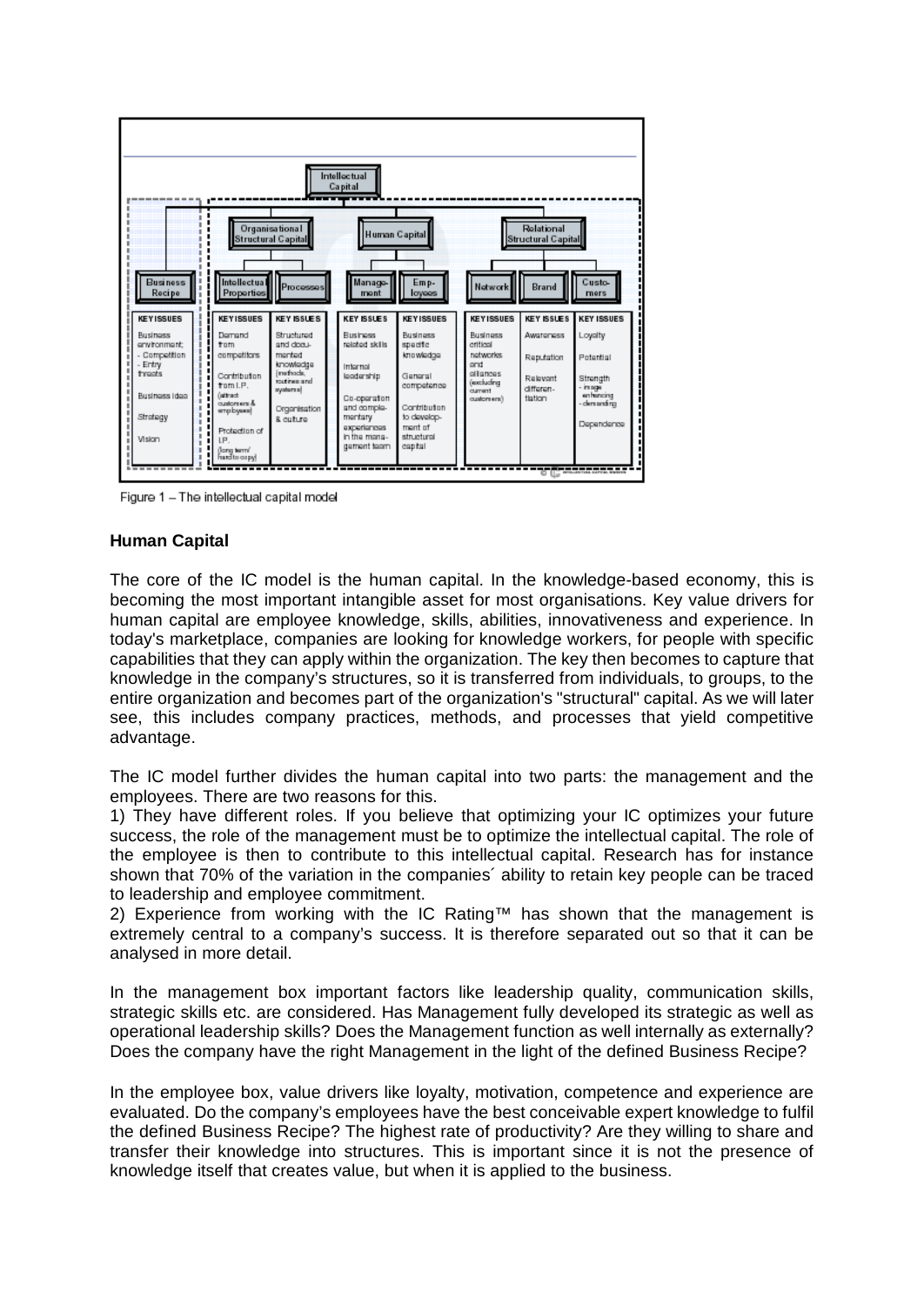

Figure 1 - The intellectual capital model

#### **Human Capital**

The core of the IC model is the human capital. In the knowledge-based economy, this is becoming the most important intangible asset for most organisations. Key value drivers for human capital are employee knowledge, skills, abilities, innovativeness and experience. In today's marketplace, companies are looking for knowledge workers, for people with specific capabilities that they can apply within the organization. The key then becomes to capture that knowledge in the company's structures, so it is transferred from individuals, to groups, to the entire organization and becomes part of the organization's "structural" capital. As we will later see, this includes company practices, methods, and processes that yield competitive advantage.

The IC model further divides the human capital into two parts: the management and the employees. There are two reasons for this.

1) They have different roles. If you believe that optimizing your IC optimizes your future success, the role of the management must be to optimize the intellectual capital. The role of the employee is then to contribute to this intellectual capital. Research has for instance shown that 70% of the variation in the companies´ ability to retain key people can be traced to leadership and employee commitment.

2) Experience from working with the IC Rating™ has shown that the management is extremely central to a company's success. It is therefore separated out so that it can be analysed in more detail.

In the management box important factors like leadership quality, communication skills, strategic skills etc. are considered. Has Management fully developed its strategic as well as operational leadership skills? Does the Management function as well internally as externally? Does the company have the right Management in the light of the defined Business Recipe?

In the employee box, value drivers like loyalty, motivation, competence and experience are evaluated. Do the company's employees have the best conceivable expert knowledge to fulfil the defined Business Recipe? The highest rate of productivity? Are they willing to share and transfer their knowledge into structures. This is important since it is not the presence of knowledge itself that creates value, but when it is applied to the business.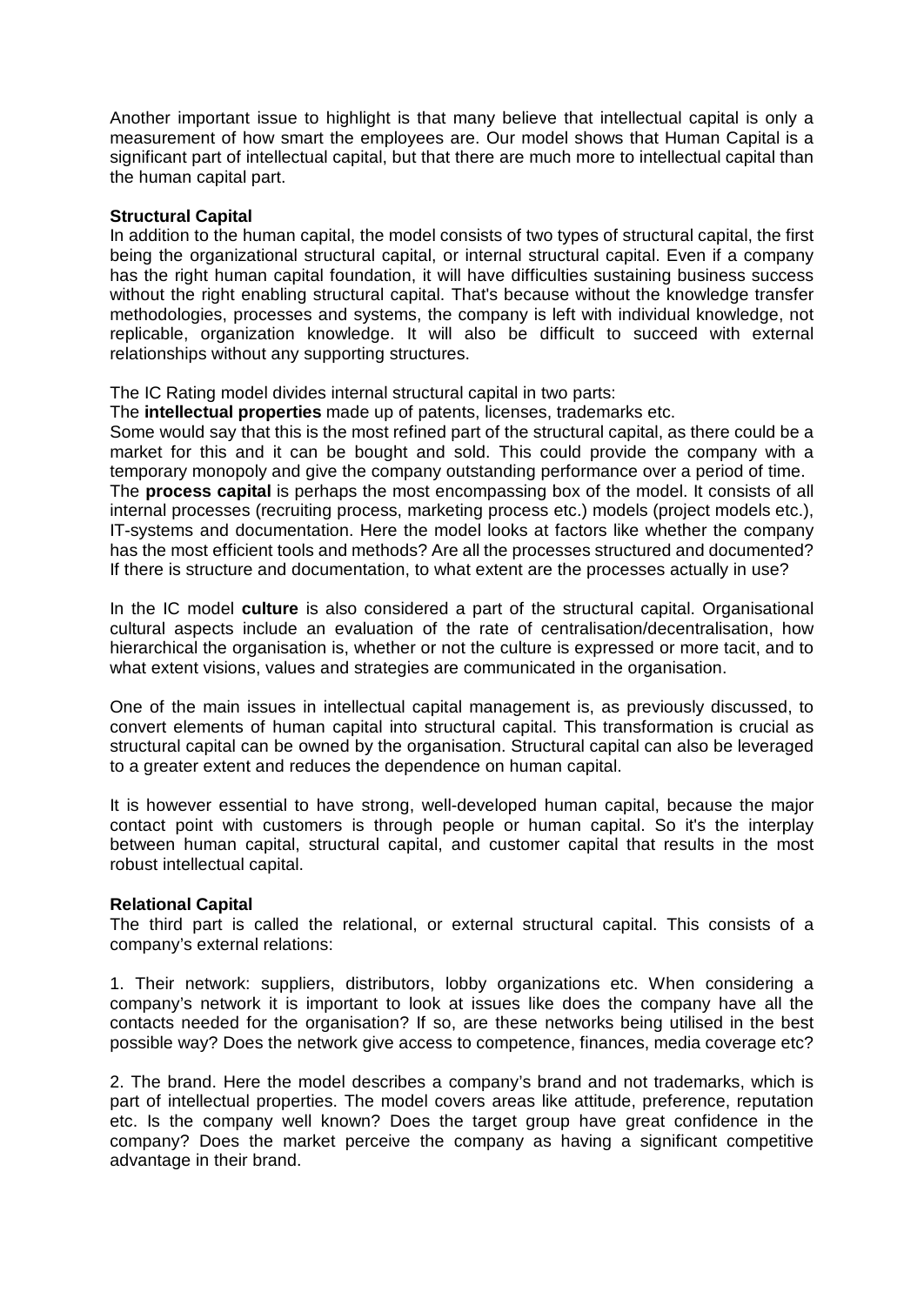Another important issue to highlight is that many believe that intellectual capital is only a measurement of how smart the employees are. Our model shows that Human Capital is a significant part of intellectual capital, but that there are much more to intellectual capital than the human capital part.

#### **Structural Capital**

In addition to the human capital, the model consists of two types of structural capital, the first being the organizational structural capital, or internal structural capital. Even if a company has the right human capital foundation, it will have difficulties sustaining business success without the right enabling structural capital. That's because without the knowledge transfer methodologies, processes and systems, the company is left with individual knowledge, not replicable, organization knowledge. It will also be difficult to succeed with external relationships without any supporting structures.

The IC Rating model divides internal structural capital in two parts:

The **intellectual properties** made up of patents, licenses, trademarks etc.

Some would say that this is the most refined part of the structural capital, as there could be a market for this and it can be bought and sold. This could provide the company with a temporary monopoly and give the company outstanding performance over a period of time. The **process capital** is perhaps the most encompassing box of the model. It consists of all internal processes (recruiting process, marketing process etc.) models (project models etc.), IT-systems and documentation. Here the model looks at factors like whether the company has the most efficient tools and methods? Are all the processes structured and documented? If there is structure and documentation, to what extent are the processes actually in use?

In the IC model **culture** is also considered a part of the structural capital. Organisational cultural aspects include an evaluation of the rate of centralisation/decentralisation, how hierarchical the organisation is, whether or not the culture is expressed or more tacit, and to what extent visions, values and strategies are communicated in the organisation.

One of the main issues in intellectual capital management is, as previously discussed, to convert elements of human capital into structural capital. This transformation is crucial as structural capital can be owned by the organisation. Structural capital can also be leveraged to a greater extent and reduces the dependence on human capital.

It is however essential to have strong, well-developed human capital, because the major contact point with customers is through people or human capital. So it's the interplay between human capital, structural capital, and customer capital that results in the most robust intellectual capital.

#### **Relational Capital**

The third part is called the relational, or external structural capital. This consists of a company's external relations:

1. Their network: suppliers, distributors, lobby organizations etc. When considering a company's network it is important to look at issues like does the company have all the contacts needed for the organisation? If so, are these networks being utilised in the best possible way? Does the network give access to competence, finances, media coverage etc?

2. The brand. Here the model describes a company's brand and not trademarks, which is part of intellectual properties. The model covers areas like attitude, preference, reputation etc. Is the company well known? Does the target group have great confidence in the company? Does the market perceive the company as having a significant competitive advantage in their brand.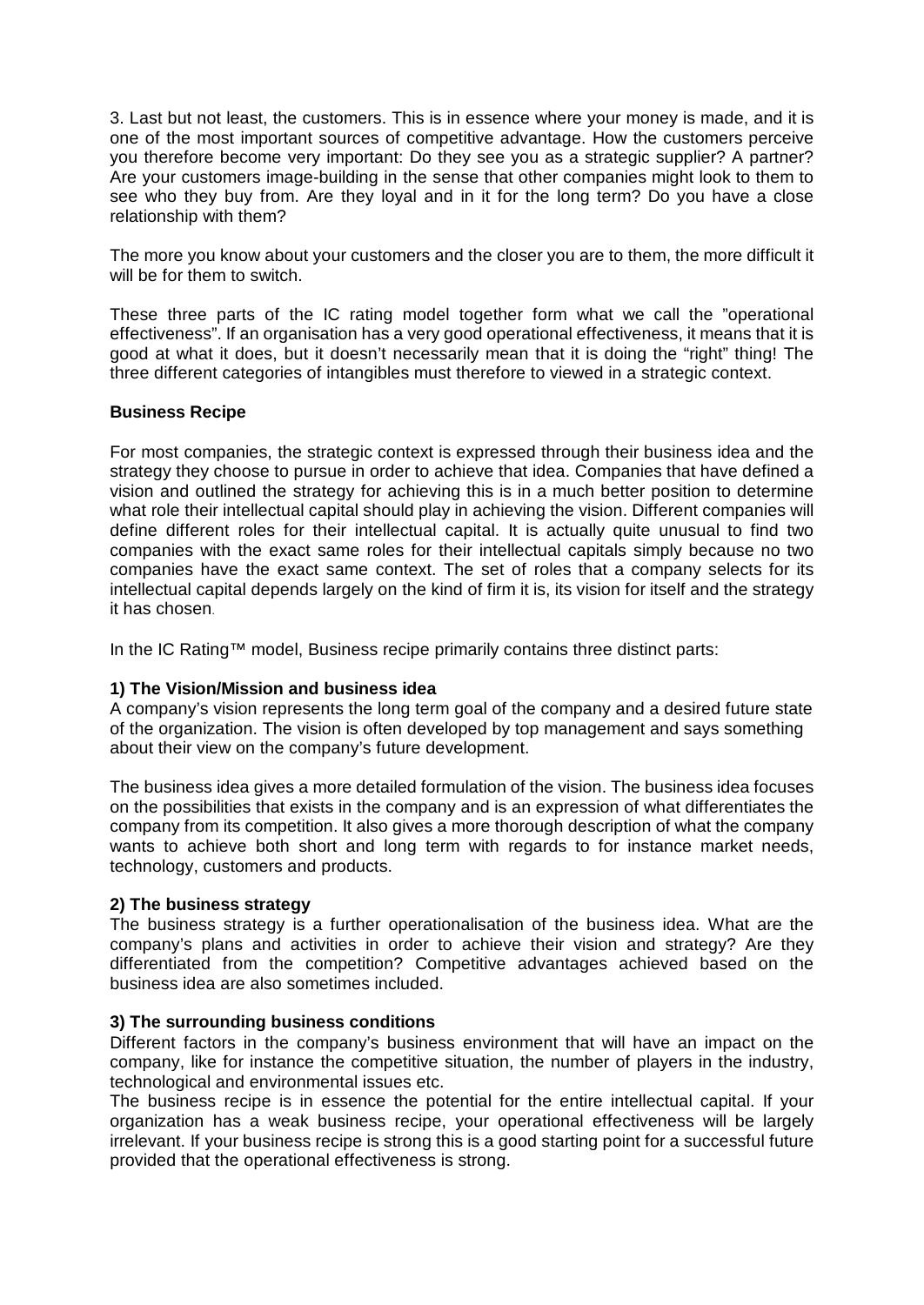3. Last but not least, the customers. This is in essence where your money is made, and it is one of the most important sources of competitive advantage. How the customers perceive you therefore become very important: Do they see you as a strategic supplier? A partner? Are your customers image-building in the sense that other companies might look to them to see who they buy from. Are they loyal and in it for the long term? Do you have a close relationship with them?

The more you know about your customers and the closer you are to them, the more difficult it will be for them to switch.

These three parts of the IC rating model together form what we call the "operational effectiveness". If an organisation has a very good operational effectiveness, it means that it is good at what it does, but it doesn't necessarily mean that it is doing the "right" thing! The three different categories of intangibles must therefore to viewed in a strategic context.

# **Business Recipe**

For most companies, the strategic context is expressed through their business idea and the strategy they choose to pursue in order to achieve that idea. Companies that have defined a vision and outlined the strategy for achieving this is in a much better position to determine what role their intellectual capital should play in achieving the vision. Different companies will define different roles for their intellectual capital. It is actually quite unusual to find two companies with the exact same roles for their intellectual capitals simply because no two companies have the exact same context. The set of roles that a company selects for its intellectual capital depends largely on the kind of firm it is, its vision for itself and the strategy it has chosen.

In the IC Rating™ model, Business recipe primarily contains three distinct parts:

# **1) The Vision/Mission and business idea**

A company's vision represents the long term goal of the company and a desired future state of the organization. The vision is often developed by top management and says something about their view on the company's future development.

The business idea gives a more detailed formulation of the vision. The business idea focuses on the possibilities that exists in the company and is an expression of what differentiates the company from its competition. It also gives a more thorough description of what the company wants to achieve both short and long term with regards to for instance market needs, technology, customers and products.

# **2) The business strategy**

The business strategy is a further operationalisation of the business idea. What are the company's plans and activities in order to achieve their vision and strategy? Are they differentiated from the competition? Competitive advantages achieved based on the business idea are also sometimes included.

#### **3) The surrounding business conditions**

Different factors in the company's business environment that will have an impact on the company, like for instance the competitive situation, the number of players in the industry, technological and environmental issues etc.

The business recipe is in essence the potential for the entire intellectual capital. If your organization has a weak business recipe, your operational effectiveness will be largely irrelevant. If your business recipe is strong this is a good starting point for a successful future provided that the operational effectiveness is strong.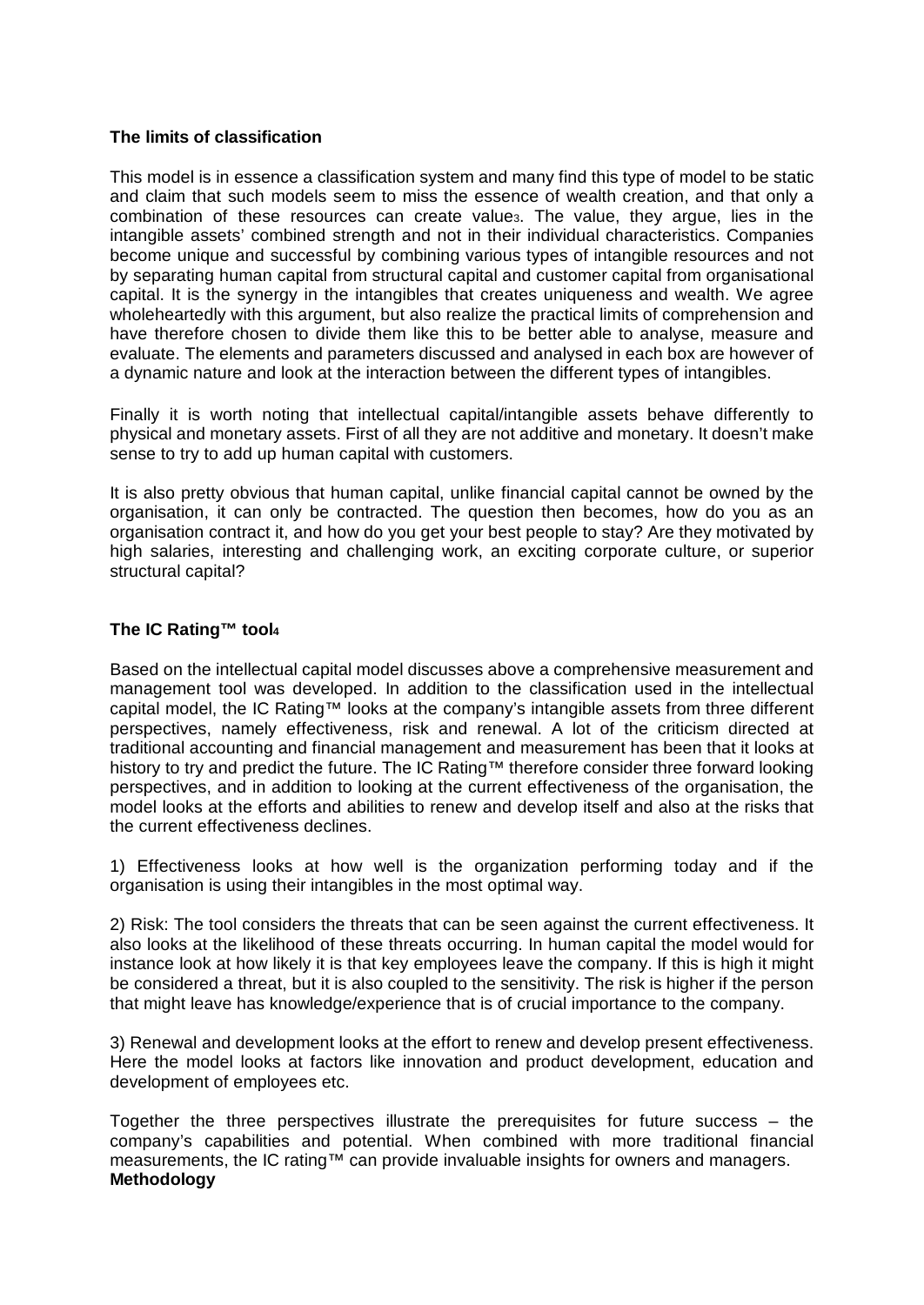#### **The limits of classification**

This model is in essence a classification system and many find this type of model to be static and claim that such models seem to miss the essence of wealth creation, and that only a combination of these resources can create value<sub>3</sub>. The value, they argue, lies in the intangible assets' combined strength and not in their individual characteristics. Companies become unique and successful by combining various types of intangible resources and not by separating human capital from structural capital and customer capital from organisational capital. It is the synergy in the intangibles that creates uniqueness and wealth. We agree wholeheartedly with this argument, but also realize the practical limits of comprehension and have therefore chosen to divide them like this to be better able to analyse, measure and evaluate. The elements and parameters discussed and analysed in each box are however of a dynamic nature and look at the interaction between the different types of intangibles.

Finally it is worth noting that intellectual capital/intangible assets behave differently to physical and monetary assets. First of all they are not additive and monetary. It doesn't make sense to try to add up human capital with customers.

It is also pretty obvious that human capital, unlike financial capital cannot be owned by the organisation, it can only be contracted. The question then becomes, how do you as an organisation contract it, and how do you get your best people to stay? Are they motivated by high salaries, interesting and challenging work, an exciting corporate culture, or superior structural capital?

# **The IC Rating™ tool<sup>4</sup>**

Based on the intellectual capital model discusses above a comprehensive measurement and management tool was developed. In addition to the classification used in the intellectual capital model, the IC Rating™ looks at the company's intangible assets from three different perspectives, namely effectiveness, risk and renewal. A lot of the criticism directed at traditional accounting and financial management and measurement has been that it looks at history to try and predict the future. The IC Rating™ therefore consider three forward looking perspectives, and in addition to looking at the current effectiveness of the organisation, the model looks at the efforts and abilities to renew and develop itself and also at the risks that the current effectiveness declines.

1) Effectiveness looks at how well is the organization performing today and if the organisation is using their intangibles in the most optimal way.

2) Risk: The tool considers the threats that can be seen against the current effectiveness. It also looks at the likelihood of these threats occurring. In human capital the model would for instance look at how likely it is that key employees leave the company. If this is high it might be considered a threat, but it is also coupled to the sensitivity. The risk is higher if the person that might leave has knowledge/experience that is of crucial importance to the company.

3) Renewal and development looks at the effort to renew and develop present effectiveness. Here the model looks at factors like innovation and product development, education and development of employees etc.

Together the three perspectives illustrate the prerequisites for future success – the company's capabilities and potential. When combined with more traditional financial measurements, the IC rating™ can provide invaluable insights for owners and managers. **Methodology**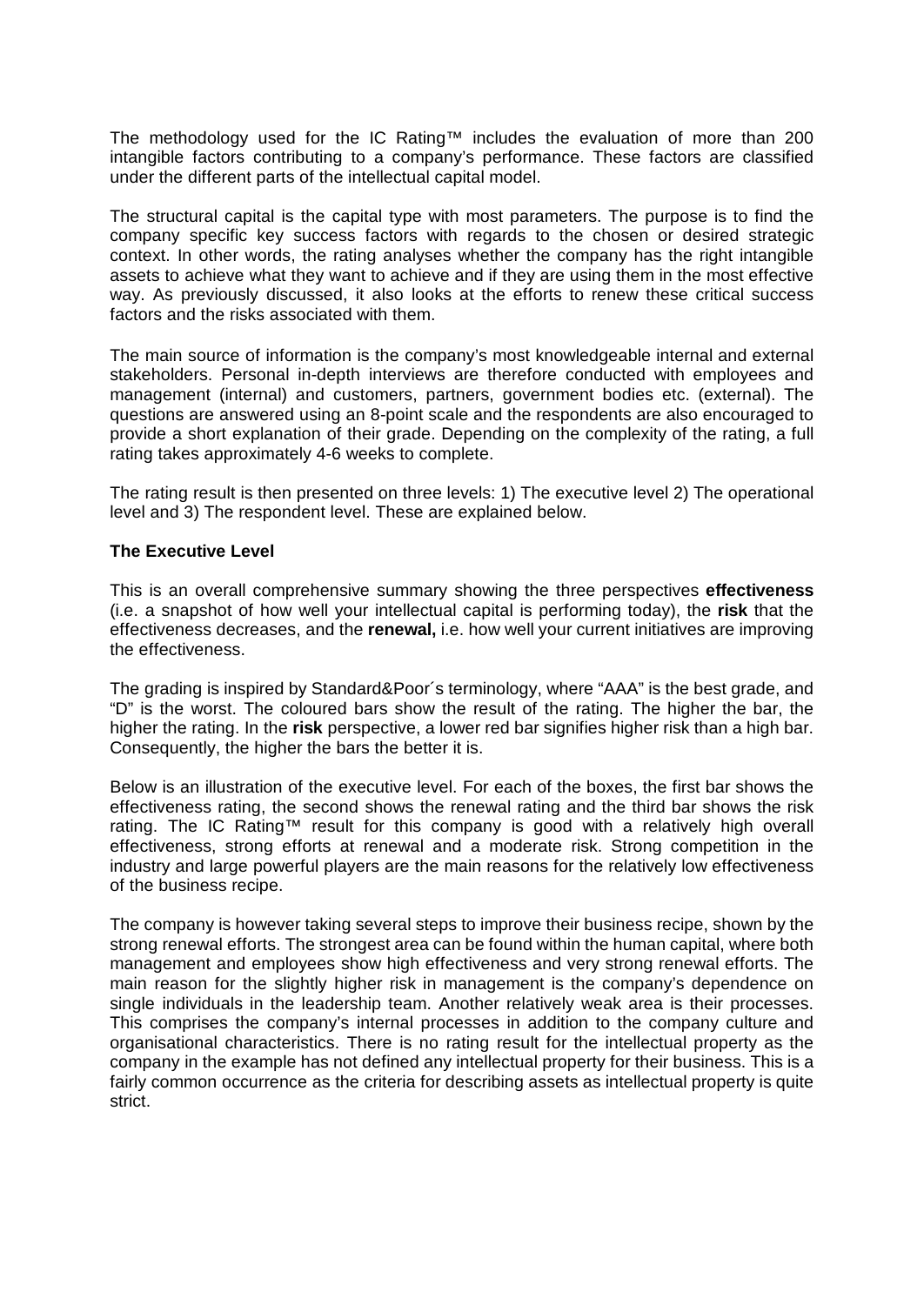The methodology used for the IC Rating™ includes the evaluation of more than 200 intangible factors contributing to a company's performance. These factors are classified under the different parts of the intellectual capital model.

The structural capital is the capital type with most parameters. The purpose is to find the company specific key success factors with regards to the chosen or desired strategic context. In other words, the rating analyses whether the company has the right intangible assets to achieve what they want to achieve and if they are using them in the most effective way. As previously discussed, it also looks at the efforts to renew these critical success factors and the risks associated with them.

The main source of information is the company's most knowledgeable internal and external stakeholders. Personal in-depth interviews are therefore conducted with employees and management (internal) and customers, partners, government bodies etc. (external). The questions are answered using an 8-point scale and the respondents are also encouraged to provide a short explanation of their grade. Depending on the complexity of the rating, a full rating takes approximately 4-6 weeks to complete.

The rating result is then presented on three levels: 1) The executive level 2) The operational level and 3) The respondent level. These are explained below.

#### **The Executive Level**

This is an overall comprehensive summary showing the three perspectives **effectiveness**  (i.e. a snapshot of how well your intellectual capital is performing today), the **risk** that the effectiveness decreases, and the **renewal,** i.e. how well your current initiatives are improving the effectiveness.

The grading is inspired by Standard&Poor´s terminology, where "AAA" is the best grade, and "D" is the worst. The coloured bars show the result of the rating. The higher the bar, the higher the rating. In the **risk** perspective, a lower red bar signifies higher risk than a high bar. Consequently, the higher the bars the better it is.

Below is an illustration of the executive level. For each of the boxes, the first bar shows the effectiveness rating, the second shows the renewal rating and the third bar shows the risk rating. The IC Rating™ result for this company is good with a relatively high overall effectiveness, strong efforts at renewal and a moderate risk. Strong competition in the industry and large powerful players are the main reasons for the relatively low effectiveness of the business recipe.

The company is however taking several steps to improve their business recipe, shown by the strong renewal efforts. The strongest area can be found within the human capital, where both management and employees show high effectiveness and very strong renewal efforts. The main reason for the slightly higher risk in management is the company's dependence on single individuals in the leadership team. Another relatively weak area is their processes. This comprises the company's internal processes in addition to the company culture and organisational characteristics. There is no rating result for the intellectual property as the company in the example has not defined any intellectual property for their business. This is a fairly common occurrence as the criteria for describing assets as intellectual property is quite strict.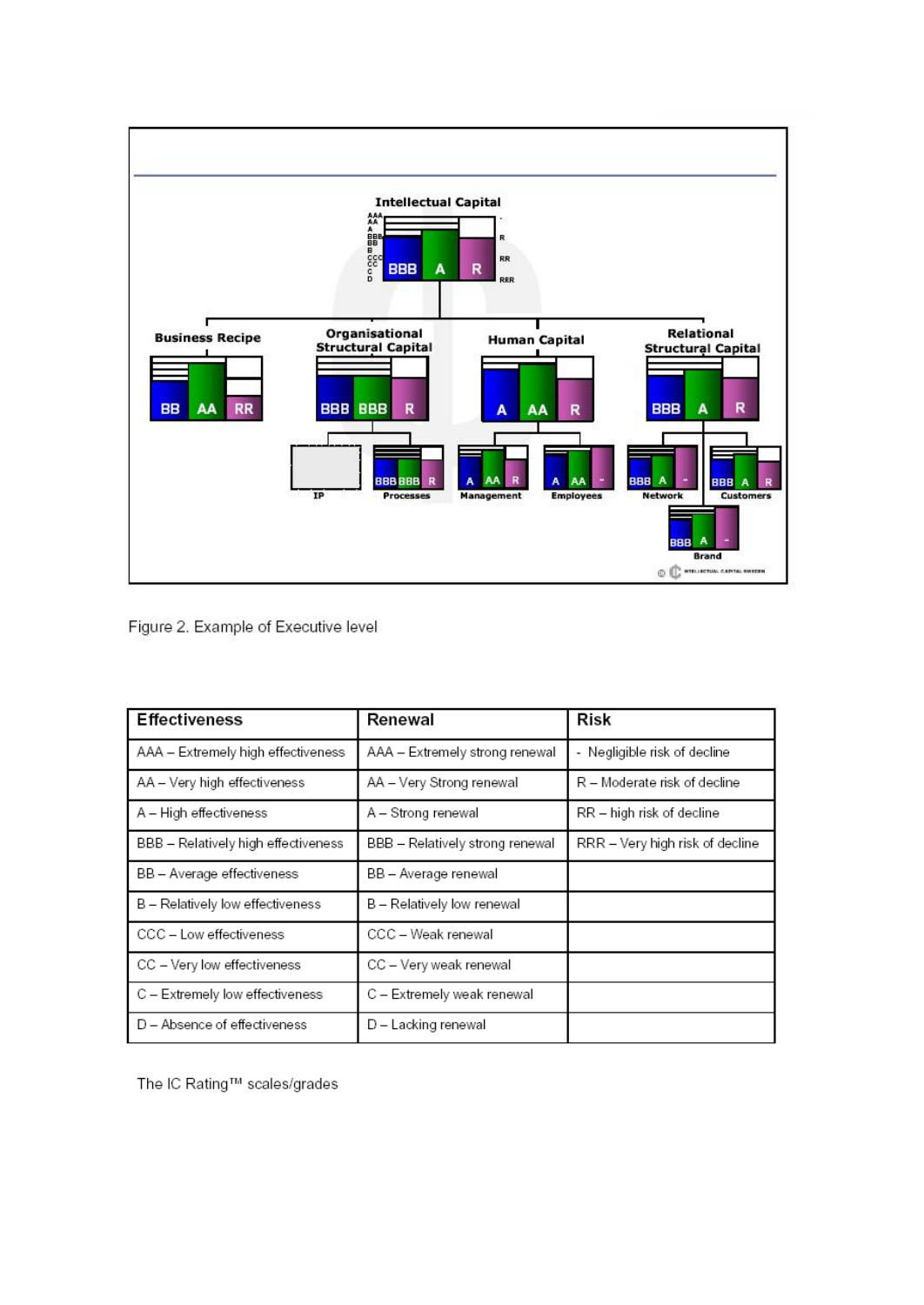

Figure 2. Example of Executive level

| <b>Effectiveness</b>                | Renewal                         | Risk                            |
|-------------------------------------|---------------------------------|---------------------------------|
| AAA - Extremely high effectiveness  | AAA - Extremely strong renewal  | - Negligible risk of decline    |
| AA - Very high effectiveness        | AA - Very Strong renewal        | R – Moderate risk of decline    |
| A - High effectiveness              | A - Strong renewal              | RR - high risk of decline       |
| BBB - Relatively high effectiveness | BBB - Relatively strong renewal | RRR – Very high risk of decline |
| BB - Average effectiveness          | BB - Average renewal            |                                 |
| B - Relatively low effectiveness    | B - Relatively low renewal      |                                 |
| CCC - Low effectiveness             | CCC - Weak renewal              |                                 |
| CC - Very low effectiveness         | CC - Very weak renewal          |                                 |
| C - Extremely low effectiveness     | C - Extremely weak renewal      |                                 |
| D – Absence of effectiveness        | D - Lacking renewal             |                                 |

The IC Rating™ scales/grades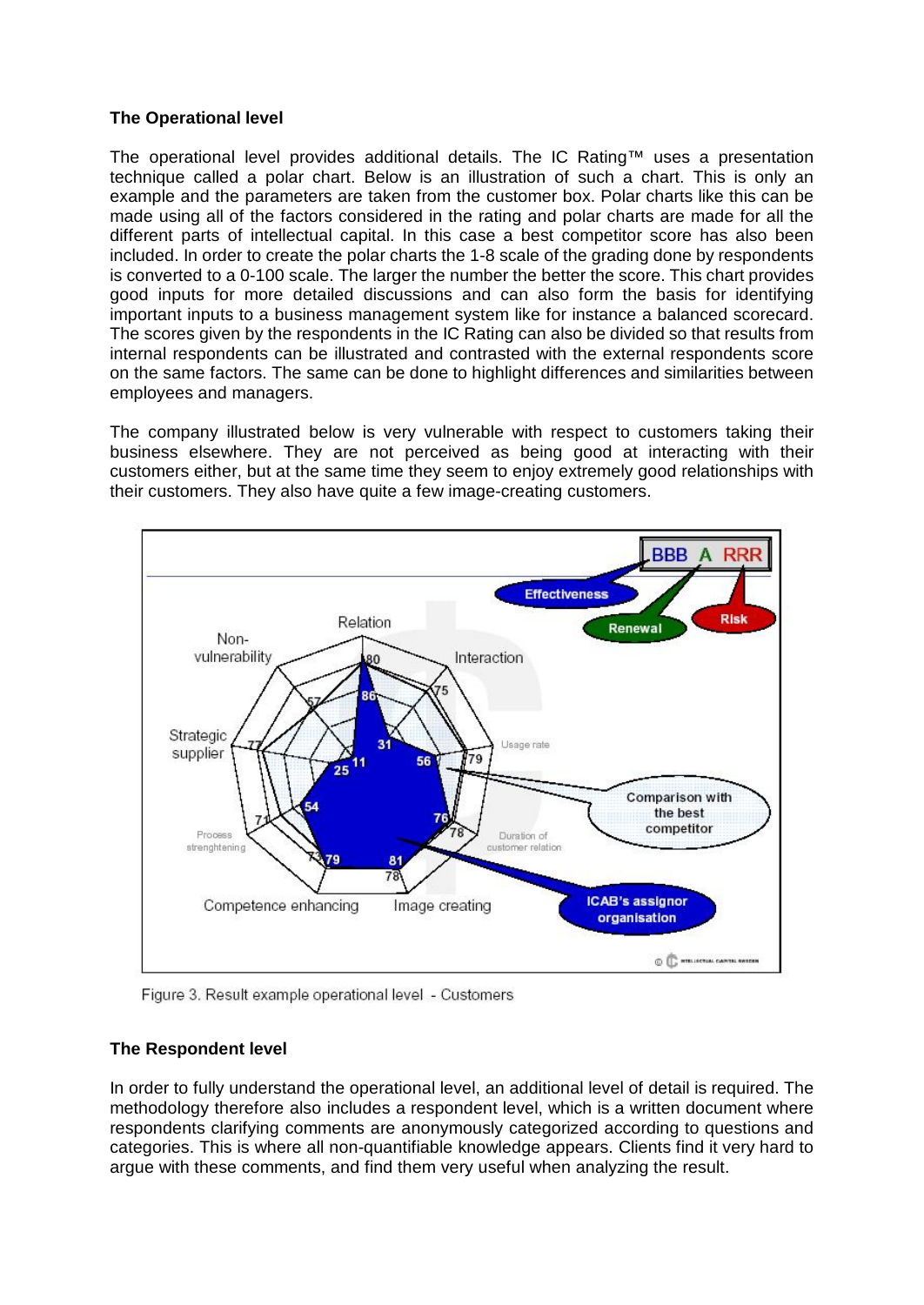### **The Operational level**

The operational level provides additional details. The IC Rating™ uses a presentation technique called a polar chart. Below is an illustration of such a chart. This is only an example and the parameters are taken from the customer box. Polar charts like this can be made using all of the factors considered in the rating and polar charts are made for all the different parts of intellectual capital. In this case a best competitor score has also been included. In order to create the polar charts the 1-8 scale of the grading done by respondents is converted to a 0-100 scale. The larger the number the better the score. This chart provides good inputs for more detailed discussions and can also form the basis for identifying important inputs to a business management system like for instance a balanced scorecard. The scores given by the respondents in the IC Rating can also be divided so that results from internal respondents can be illustrated and contrasted with the external respondents score on the same factors. The same can be done to highlight differences and similarities between employees and managers.

The company illustrated below is very vulnerable with respect to customers taking their business elsewhere. They are not perceived as being good at interacting with their customers either, but at the same time they seem to enjoy extremely good relationships with their customers. They also have quite a few image-creating customers.



Figure 3. Result example operational level - Customers

# **The Respondent level**

In order to fully understand the operational level, an additional level of detail is required. The methodology therefore also includes a respondent level, which is a written document where respondents clarifying comments are anonymously categorized according to questions and categories. This is where all non-quantifiable knowledge appears. Clients find it very hard to argue with these comments, and find them very useful when analyzing the result.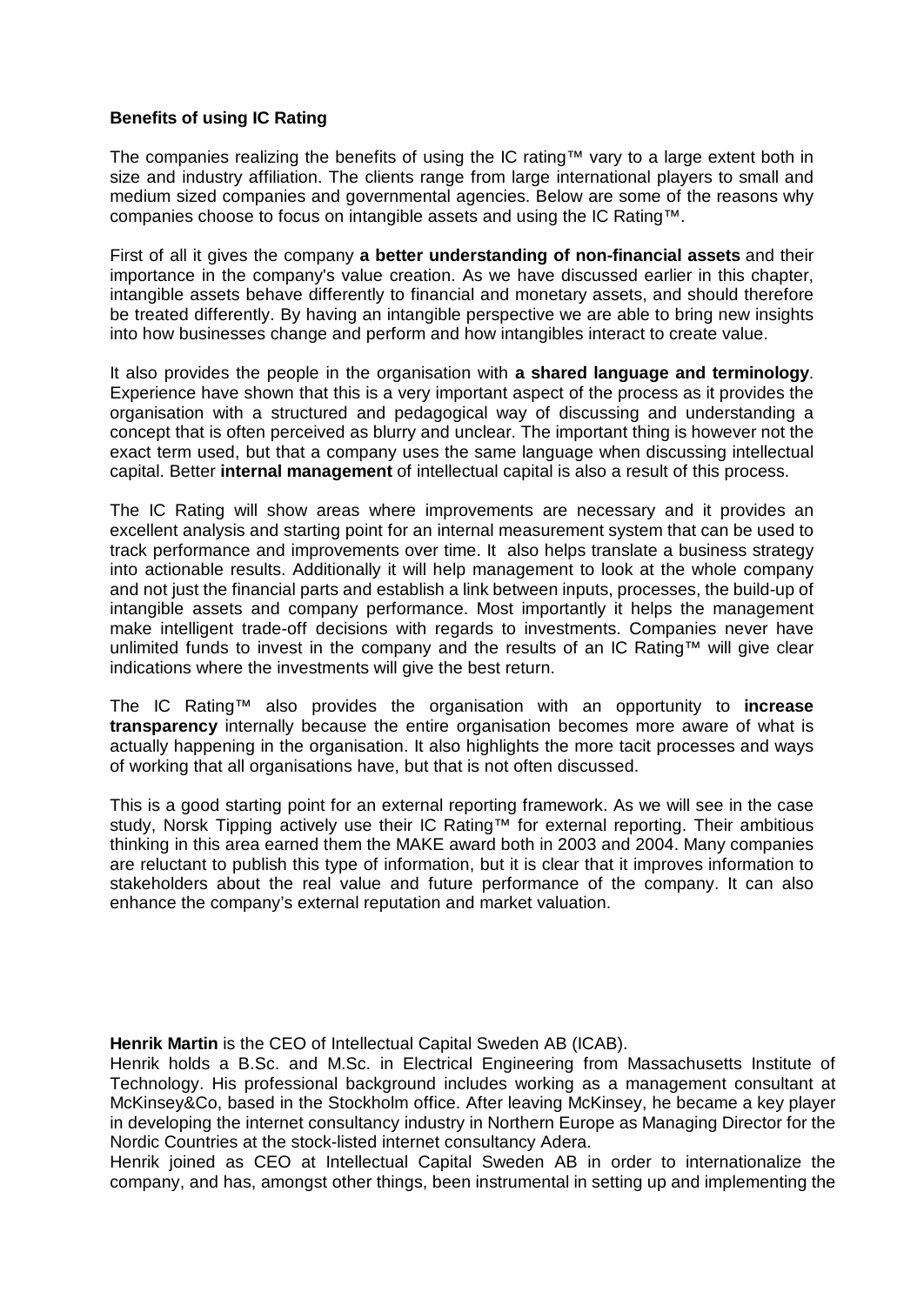# **Benefits of using IC Rating**

The companies realizing the benefits of using the IC rating™ vary to a large extent both in size and industry affiliation. The clients range from large international players to small and medium sized companies and governmental agencies. Below are some of the reasons why companies choose to focus on intangible assets and using the IC Rating™.

First of all it gives the company **a better understanding of non-financial assets** and their importance in the company's value creation. As we have discussed earlier in this chapter, intangible assets behave differently to financial and monetary assets, and should therefore be treated differently. By having an intangible perspective we are able to bring new insights into how businesses change and perform and how intangibles interact to create value.

It also provides the people in the organisation with **a shared language and terminology**. Experience have shown that this is a very important aspect of the process as it provides the organisation with a structured and pedagogical way of discussing and understanding a concept that is often perceived as blurry and unclear. The important thing is however not the exact term used, but that a company uses the same language when discussing intellectual capital. Better **internal management** of intellectual capital is also a result of this process.

The IC Rating will show areas where improvements are necessary and it provides an excellent analysis and starting point for an internal measurement system that can be used to track performance and improvements over time. It also helps translate a business strategy into actionable results. Additionally it will help management to look at the whole company and not just the financial parts and establish a link between inputs, processes, the build-up of intangible assets and company performance. Most importantly it helps the management make intelligent trade-off decisions with regards to investments. Companies never have unlimited funds to invest in the company and the results of an IC Rating™ will give clear indications where the investments will give the best return.

The IC Rating™ also provides the organisation with an opportunity to **increase transparency** internally because the entire organisation becomes more aware of what is actually happening in the organisation. It also highlights the more tacit processes and ways of working that all organisations have, but that is not often discussed.

This is a good starting point for an external reporting framework. As we will see in the case study, Norsk Tipping actively use their IC Rating™ for external reporting. Their ambitious thinking in this area earned them the MAKE award both in 2003 and 2004. Many companies are reluctant to publish this type of information, but it is clear that it improves information to stakeholders about the real value and future performance of the company. It can also enhance the company's external reputation and market valuation.

**Henrik Martin** is the CEO of Intellectual Capital Sweden AB (ICAB).

Henrik holds a B.Sc. and M.Sc. in Electrical Engineering from Massachusetts Institute of Technology. His professional background includes working as a management consultant at McKinsey&Co, based in the Stockholm office. After leaving McKinsey, he became a key player in developing the internet consultancy industry in Northern Europe as Managing Director for the Nordic Countries at the stock-listed internet consultancy Adera.

Henrik joined as CEO at Intellectual Capital Sweden AB in order to internationalize the company, and has, amongst other things, been instrumental in setting up and implementing the